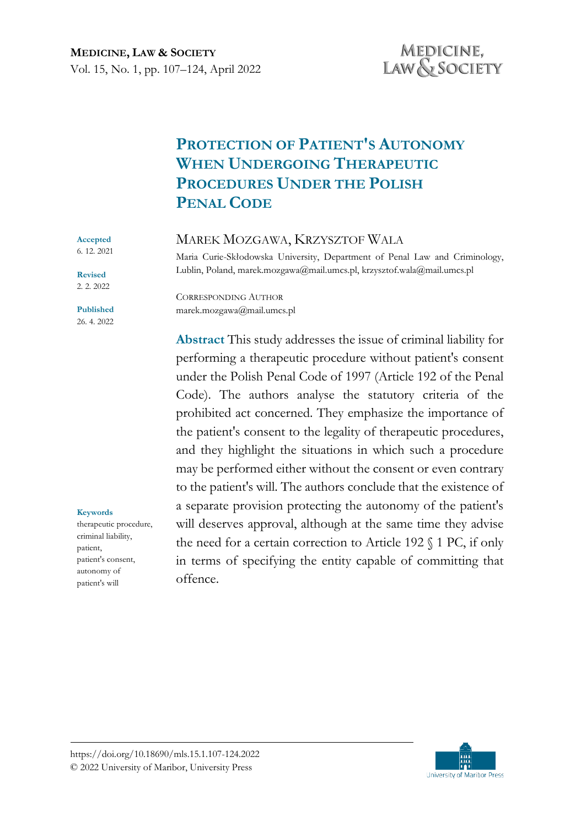# **PROTECTION OF PATIENT'S AUTONOMY WHEN UNDERGOING THERAPEUTIC PROCEDURES UNDER THE POLISH PENAL CODE**

# MAREK MOZGAWA, KRZYSZTOF WALA

Maria Curie-Skłodowska University, Department of Penal Law and Criminology, Lublin, Poland, marek.mozgawa@mail.umcs.pl, krzysztof.wala@mail.umcs.pl

CORRESPONDING AUTHOR marek.mozgawa@mail.umcs.pl

**Abstract** This study addresses the issue of criminal liability for performing a therapeutic procedure without patient's consent under the Polish Penal Code of 1997 (Article 192 of the Penal Code). The authors analyse the statutory criteria of the prohibited act concerned. They emphasize the importance of the patient's consent to the legality of therapeutic procedures, and they highlight the situations in which such a procedure may be performed either without the consent or even contrary to the patient's will. The authors conclude that the existence of a separate provision protecting the autonomy of the patient's will deserves approval, although at the same time they advise the need for a certain correction to Article 192 § 1 PC, if only in terms of specifying the entity capable of committing that offence.

**Accepted**  6. 12. 2021 **Revised** 2. 2. 2022 **Published** 26. 4. 2022

**Keywords** therapeutic procedure, criminal liability, patient, patient's consent, autonomy of patient's will

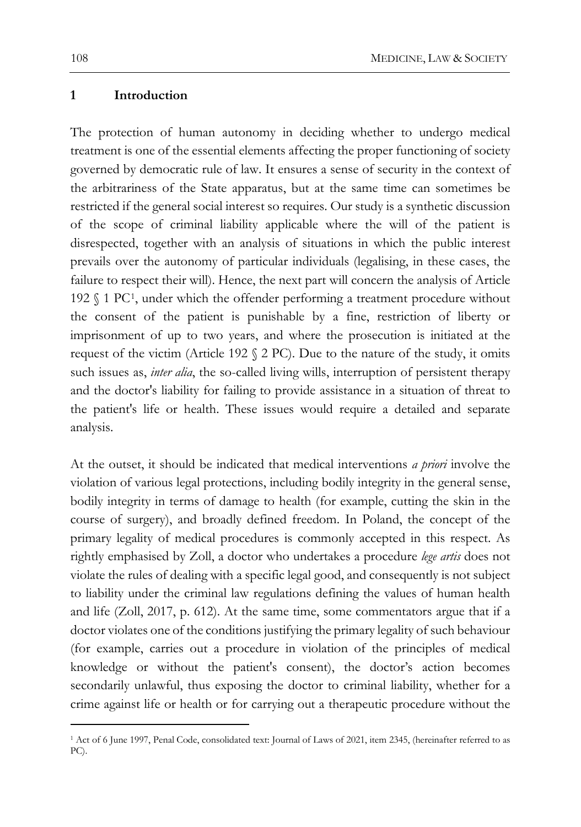#### **1 Introduction**

The protection of human autonomy in deciding whether to undergo medical treatment is one of the essential elements affecting the proper functioning of society governed by democratic rule of law. It ensures a sense of security in the context of the arbitrariness of the State apparatus, but at the same time can sometimes be restricted if the general social interest so requires. Our study is a synthetic discussion of the scope of criminal liability applicable where the will of the patient is disrespected, together with an analysis of situations in which the public interest prevails over the autonomy of particular individuals (legalising, in these cases, the failure to respect their will). Hence, the next part will concern the analysis of Article 192 § 1 PC[1,](#page-1-0) under which the offender performing a treatment procedure without the consent of the patient is punishable by a fine, restriction of liberty or imprisonment of up to two years, and where the prosecution is initiated at the request of the victim (Article 192 § 2 PC). Due to the nature of the study, it omits such issues as, *inter alia*, the so-called living wills, interruption of persistent therapy and the doctor's liability for failing to provide assistance in a situation of threat to the patient's life or health. These issues would require a detailed and separate analysis.

At the outset, it should be indicated that medical interventions *a priori* involve the violation of various legal protections, including bodily integrity in the general sense, bodily integrity in terms of damage to health (for example, cutting the skin in the course of surgery), and broadly defined freedom. In Poland, the concept of the primary legality of medical procedures is commonly accepted in this respect. As rightly emphasised by Zoll, a doctor who undertakes a procedure *lege artis* does not violate the rules of dealing with a specific legal good, and consequently is not subject to liability under the criminal law regulations defining the values of human health and life (Zoll, 2017, p. 612). At the same time, some commentators argue that if a doctor violates one of the conditions justifying the primary legality of such behaviour (for example, carries out a procedure in violation of the principles of medical knowledge or without the patient's consent), the doctor's action becomes secondarily unlawful, thus exposing the doctor to criminal liability, whether for a crime against life or health or for carrying out a therapeutic procedure without the

<span id="page-1-0"></span><sup>1</sup> Act of 6 June 1997, Penal Code, consolidated text: Journal of Laws of 2021, item 2345, (hereinafter referred to as PC).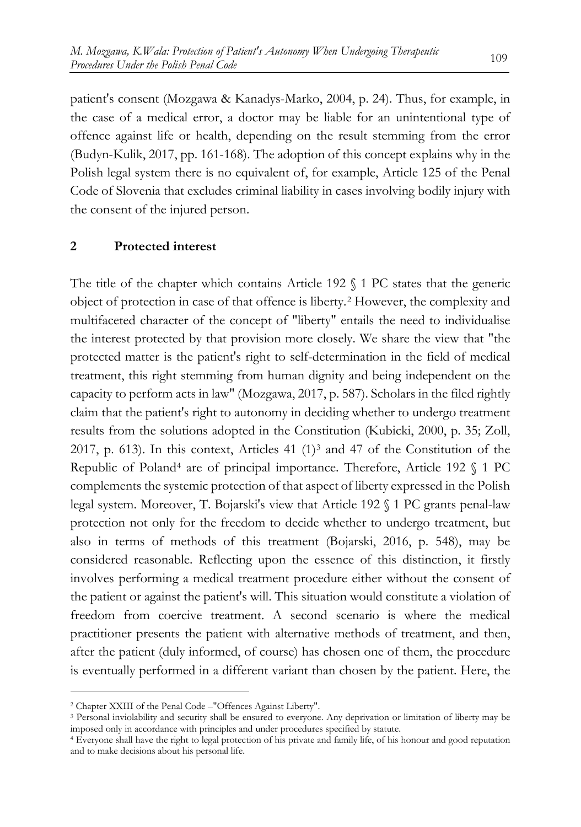patient's consent (Mozgawa & Kanadys-Marko, 2004, p. 24). Thus, for example, in the case of a medical error, a doctor may be liable for an unintentional type of offence against life or health, depending on the result stemming from the error (Budyn-Kulik, 2017, pp. 161-168). The adoption of this concept explains why in the Polish legal system there is no equivalent of, for example, Article 125 of the Penal Code of Slovenia that excludes criminal liability in cases involving bodily injury with the consent of the injured person.

## **2 Protected interest**

The title of the chapter which contains Article 192  $\Diamond$  1 PC states that the generic object of protection in case of that offence is liberty.[2](#page-2-0) However, the complexity and multifaceted character of the concept of "liberty" entails the need to individualise the interest protected by that provision more closely. We share the view that "the protected matter is the patient's right to self-determination in the field of medical treatment, this right stemming from human dignity and being independent on the capacity to perform acts in law" (Mozgawa, 2017, p. 587). Scholars in the filed rightly claim that the patient's right to autonomy in deciding whether to undergo treatment results from the solutions adopted in the Constitution (Kubicki, 2000, p. 35; Zoll, 2017, p. 61[3](#page-2-1)). In this context, Articles 41  $(1)^3$  and 47 of the Constitution of the Republic of Poland[4](#page-2-2) are of principal importance. Therefore, Article 192 § 1 PC complements the systemic protection of that aspect of liberty expressed in the Polish legal system. Moreover, T. Bojarski's view that Article 192 § 1 PC grants penal-law protection not only for the freedom to decide whether to undergo treatment, but also in terms of methods of this treatment (Bojarski, 2016, p. 548), may be considered reasonable. Reflecting upon the essence of this distinction, it firstly involves performing a medical treatment procedure either without the consent of the patient or against the patient's will. This situation would constitute a violation of freedom from coercive treatment. A second scenario is where the medical practitioner presents the patient with alternative methods of treatment, and then, after the patient (duly informed, of course) has chosen one of them, the procedure is eventually performed in a different variant than chosen by the patient. Here, the

<span id="page-2-0"></span><sup>2</sup> Chapter XXIII of the Penal Code –"Offences Against Liberty".

<span id="page-2-1"></span><sup>&</sup>lt;sup>3</sup> Personal inviolability and security shall be ensured to everyone. Any deprivation or limitation of liberty may be imposed only in accordance with principles and under procedures specified by statute.

<span id="page-2-2"></span><sup>4</sup> Everyone shall have the right to legal protection of his private and family life, of his honour and good reputation and to make decisions about his personal life.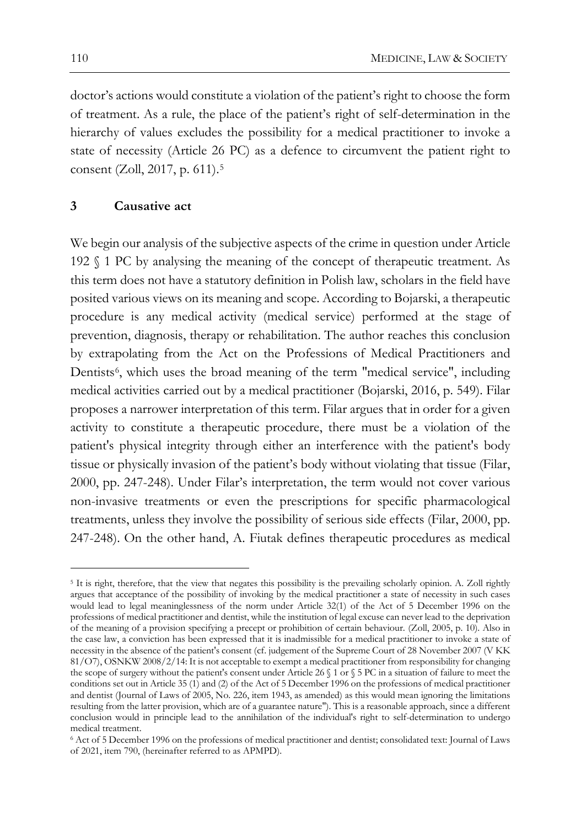doctor's actions would constitute a violation of the patient's right to choose the form of treatment. As a rule, the place of the patient's right of self-determination in the hierarchy of values excludes the possibility for a medical practitioner to invoke a state of necessity (Article 26 PC) as a defence to circumvent the patient right to consent (Zoll, 2017, p. 611).<sup>[5](#page-3-0)</sup>

## **3 Causative act**

We begin our analysis of the subjective aspects of the crime in question under Article 192 § 1 PC by analysing the meaning of the concept of therapeutic treatment. As this term does not have a statutory definition in Polish law, scholars in the field have posited various views on its meaning and scope. According to Bojarski, a therapeutic procedure is any medical activity (medical service) performed at the stage of prevention, diagnosis, therapy or rehabilitation. The author reaches this conclusion by extrapolating from the Act on the Professions of Medical Practitioners and Dentists<sup>[6](#page-3-1)</sup>, which uses the broad meaning of the term "medical service", including medical activities carried out by a medical practitioner (Bojarski, 2016, p. 549). Filar proposes a narrower interpretation of this term. Filar argues that in order for a given activity to constitute a therapeutic procedure, there must be a violation of the patient's physical integrity through either an interference with the patient's body tissue or physically invasion of the patient's body without violating that tissue (Filar, 2000, pp. 247-248). Under Filar's interpretation, the term would not cover various non-invasive treatments or even the prescriptions for specific pharmacological treatments, unless they involve the possibility of serious side effects (Filar, 2000, pp. 247-248). On the other hand, A. Fiutak defines therapeutic procedures as medical

<span id="page-3-0"></span><sup>5</sup> It is right, therefore, that the view that negates this possibility is the prevailing scholarly opinion. A. Zoll rightly argues that acceptance of the possibility of invoking by the medical practitioner a state of necessity in such cases would lead to legal meaninglessness of the norm under Article 32(1) of the Act of 5 December 1996 on the professions of medical practitioner and dentist, while the institution of legal excuse can never lead to the deprivation of the meaning of a provision specifying a precept or prohibition of certain behaviour. (Zoll, 2005, p. 10). Also in the case law, a conviction has been expressed that it is inadmissible for a medical practitioner to invoke a state of necessity in the absence of the patient's consent (cf. judgement of the Supreme Court of 28 November 2007 (V KK 81/O7), OSNKW 2008/2/14: It is not acceptable to exempt a medical practitioner from responsibility for changing the scope of surgery without the patient's consent under Article 26  $\frac{1}{3}$  or  $\frac{1}{3}$  PC in a situation of failure to meet the conditions set out in Article 35 (1) and (2) of the Act of 5 December 1996 on the professions of medical practitioner and dentist (Journal of Laws of 2005, No. 226, item 1943, as amended) as this would mean ignoring the limitations resulting from the latter provision, which are of a guarantee nature"). This is a reasonable approach, since a different conclusion would in principle lead to the annihilation of the individual's right to self-determination to undergo medical treatment.

<span id="page-3-1"></span><sup>6</sup> Act of 5 December 1996 on the professions of medical practitioner and dentist; consolidated text: Journal of Laws of 2021, item 790, (hereinafter referred to as APMPD).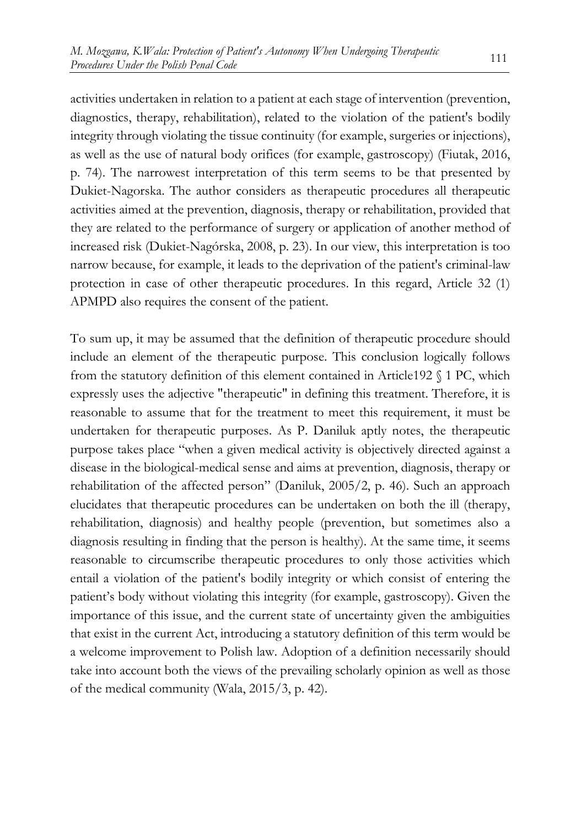activities undertaken in relation to a patient at each stage of intervention (prevention, diagnostics, therapy, rehabilitation), related to the violation of the patient's bodily integrity through violating the tissue continuity (for example, surgeries or injections), as well as the use of natural body orifices (for example, gastroscopy) (Fiutak, 2016, p. 74). The narrowest interpretation of this term seems to be that presented by Dukiet-Nagorska. The author considers as therapeutic procedures all therapeutic activities aimed at the prevention, diagnosis, therapy or rehabilitation, provided that they are related to the performance of surgery or application of another method of increased risk (Dukiet-Nagórska, 2008, p. 23). In our view, this interpretation is too narrow because, for example, it leads to the deprivation of the patient's criminal-law protection in case of other therapeutic procedures. In this regard, Article 32 (1) APMPD also requires the consent of the patient.

To sum up, it may be assumed that the definition of therapeutic procedure should include an element of the therapeutic purpose. This conclusion logically follows from the statutory definition of this element contained in Article192 § 1 PC, which expressly uses the adjective "therapeutic" in defining this treatment. Therefore, it is reasonable to assume that for the treatment to meet this requirement, it must be undertaken for therapeutic purposes. As P. Daniluk aptly notes, the therapeutic purpose takes place "when a given medical activity is objectively directed against a disease in the biological-medical sense and aims at prevention, diagnosis, therapy or rehabilitation of the affected person" (Daniluk, 2005/2, p. 46). Such an approach elucidates that therapeutic procedures can be undertaken on both the ill (therapy, rehabilitation, diagnosis) and healthy people (prevention, but sometimes also a diagnosis resulting in finding that the person is healthy). At the same time, it seems reasonable to circumscribe therapeutic procedures to only those activities which entail a violation of the patient's bodily integrity or which consist of entering the patient's body without violating this integrity (for example, gastroscopy). Given the importance of this issue, and the current state of uncertainty given the ambiguities that exist in the current Act, introducing a statutory definition of this term would be a welcome improvement to Polish law. Adoption of a definition necessarily should take into account both the views of the prevailing scholarly opinion as well as those of the medical community (Wala, 2015/3, p. 42).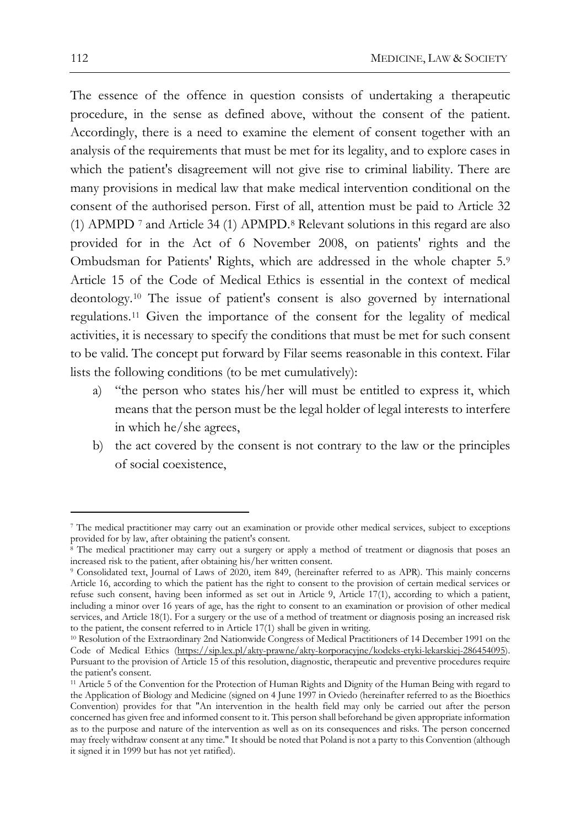The essence of the offence in question consists of undertaking a therapeutic procedure, in the sense as defined above, without the consent of the patient. Accordingly, there is a need to examine the element of consent together with an analysis of the requirements that must be met for its legality, and to explore cases in which the patient's disagreement will not give rise to criminal liability. There are many provisions in medical law that make medical intervention conditional on the consent of the authorised person. First of all, attention must be paid to Article 32 (1) APMPD [7](#page-5-0) and Article 34 (1) APMPD.[8](#page-5-1) Relevant solutions in this regard are also provided for in the Act of 6 November 2008, on patients' rights and the Ombudsman for Patients' Rights, which are addressed in the whole chapter 5.[9](#page-5-2) Article 15 of the Code of Medical Ethics is essential in the context of medical deontology.[10](#page-5-3) The issue of patient's consent is also governed by international regulations.[11](#page-5-4) Given the importance of the consent for the legality of medical activities, it is necessary to specify the conditions that must be met for such consent to be valid. The concept put forward by Filar seems reasonable in this context. Filar lists the following conditions (to be met cumulatively):

- a) "the person who states his/her will must be entitled to express it, which means that the person must be the legal holder of legal interests to interfere in which he/she agrees,
- b) the act covered by the consent is not contrary to the law or the principles of social coexistence,

<span id="page-5-0"></span><sup>7</sup> The medical practitioner may carry out an examination or provide other medical services, subject to exceptions provided for by law, after obtaining the patient's consent.

<span id="page-5-1"></span><sup>&</sup>lt;sup>8</sup> The medical practitioner may carry out a surgery or apply a method of treatment or diagnosis that poses an increased risk to the patient, after obtaining his/her written consent.

<span id="page-5-2"></span><sup>9</sup> Consolidated text, Journal of Laws of 2020, item 849, (hereinafter referred to as APR). This mainly concerns Article 16, according to which the patient has the right to consent to the provision of certain medical services or refuse such consent, having been informed as set out in Article 9, Article 17(1), according to which a patient, including a minor over 16 years of age, has the right to consent to an examination or provision of other medical services, and Article 18(1). For a surgery or the use of a method of treatment or diagnosis posing an increased risk to the patient, the consent referred to in Article 17(1) shall be given in writing.

<span id="page-5-3"></span><sup>10</sup> Resolution of the Extraordinary 2nd Nationwide Congress of Medical Practitioners of 14 December 1991 on the Code of Medical Ethics [\(https://sip.lex.pl/akty-prawne/akty-](about:blank)korporacyjne/kodeks-etyki-lekarskiej-286454095). Pursuant to the provision of Article 15 of this resolution, diagnostic, therapeutic and preventive procedures require the patient's consent.

<span id="page-5-4"></span><sup>11</sup> Article 5 of the Convention for the Protection of Human Rights and Dignity of the Human Being with regard to the Application of Biology and Medicine (signed on 4 June 1997 in Oviedo (hereinafter referred to as the Bioethics Convention) provides for that "An intervention in the health field may only be carried out after the person concerned has given free and informed consent to it. This person shall beforehand be given appropriate information as to the purpose and nature of the intervention as well as on its consequences and risks. The person concerned may freely withdraw consent at any time." It should be noted that Poland is not a party to this Convention (although it signed it in 1999 but has not yet ratified).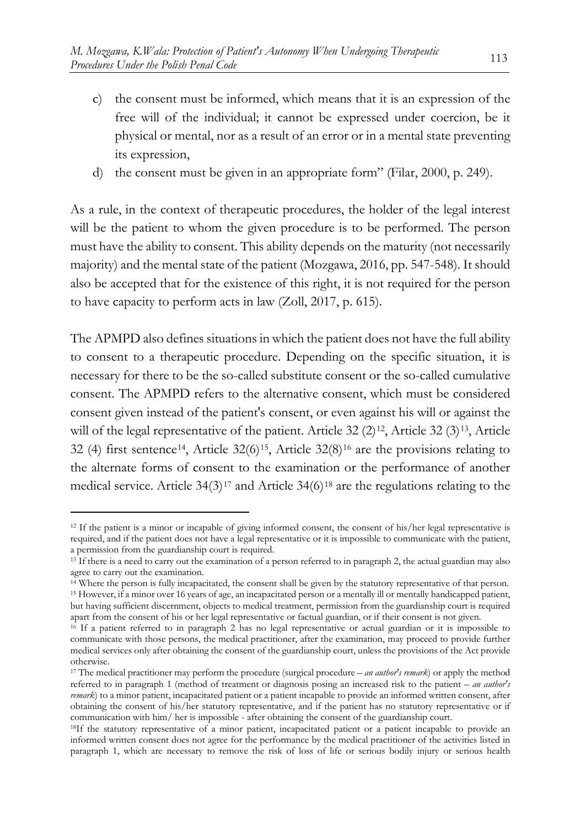- c) the consent must be informed, which means that it is an expression of the free will of the individual; it cannot be expressed under coercion, be it physical or mental, nor as a result of an error or in a mental state preventing its expression,
- d) the consent must be given in an appropriate form" (Filar, 2000, p. 249).

As a rule, in the context of therapeutic procedures, the holder of the legal interest will be the patient to whom the given procedure is to be performed. The person must have the ability to consent. This ability depends on the maturity (not necessarily majority) and the mental state of the patient (Mozgawa, 2016, pp. 547-548). It should also be accepted that for the existence of this right, it is not required for the person to have capacity to perform acts in law (Zoll, 2017, p. 615).

The APMPD also defines situations in which the patient does not have the full ability to consent to a therapeutic procedure. Depending on the specific situation, it is necessary for there to be the so-called substitute consent or the so-called cumulative consent. The APMPD refers to the alternative consent, which must be considered consent given instead of the patient's consent, or even against his will or against the will of the legal representative of the patient. Article 32  $(2)^{12}$ , Article 32  $(3)^{13}$  $(3)^{13}$  $(3)^{13}$ , Article 32 (4) first sentence<sup>[14](#page-6-2)</sup>, Article  $32(6)^{15}$  $32(6)^{15}$  $32(6)^{15}$ , Article  $32(8)^{16}$  are the provisions relating to the alternate forms of consent to the examination or the performance of another medical service. Article  $34(3)^{17}$  $34(3)^{17}$  $34(3)^{17}$  and Article  $34(6)^{18}$  $34(6)^{18}$  $34(6)^{18}$  are the regulations relating to the

<span id="page-6-0"></span><sup>&</sup>lt;sup>12</sup> If the patient is a minor or incapable of giving informed consent, the consent of his/her legal representative is required, and if the patient does not have a legal representative or it is impossible to communicate with the patient, a permission from the guardianship court is required.

<span id="page-6-1"></span><sup>&</sup>lt;sup>13</sup> If there is a need to carry out the examination of a person referred to in paragraph 2, the actual guardian may also agree to carry out the examination.

<span id="page-6-3"></span><span id="page-6-2"></span><sup>14</sup> Where the person is fully incapacitated, the consent shall be given by the statutory representative of that person. <sup>15</sup> However, if a minor over 16 years of age, an incapacitated person or a mentally ill or mentally handicapped patient, but having sufficient discernment, objects to medical treatment, permission from the guardianship court is required apart from the consent of his or her legal representative or factual guardian, or if their consent is not given.

<span id="page-6-4"></span><sup>&</sup>lt;sup>16</sup> If a patient referred to in paragraph 2 has no legal representative or actual guardian or it is impossible to communicate with those persons, the medical practitioner, after the examination, may proceed to provide further medical services only after obtaining the consent of the guardianship court, unless the provisions of the Act provide otherwise.

<span id="page-6-5"></span><sup>17</sup> The medical practitioner may perform the procedure (surgical procedure – *an author's remark*) or apply the method referred to in paragraph 1 (method of treatment or diagnosis posing an increased risk to the patient – *an author's remark*) to a minor patient, incapacitated patient or a patient incapable to provide an informed written consent, after obtaining the consent of his/her statutory representative, and if the patient has no statutory representative or if communication with him/ her is impossible - after obtaining the consent of the guardianship court.

<span id="page-6-6"></span><sup>18</sup>If the statutory representative of a minor patient, incapacitated patient or a patient incapable to provide an informed written consent does not agree for the performance by the medical practitioner of the activities listed in paragraph 1, which are necessary to remove the risk of loss of life or serious bodily injury or serious health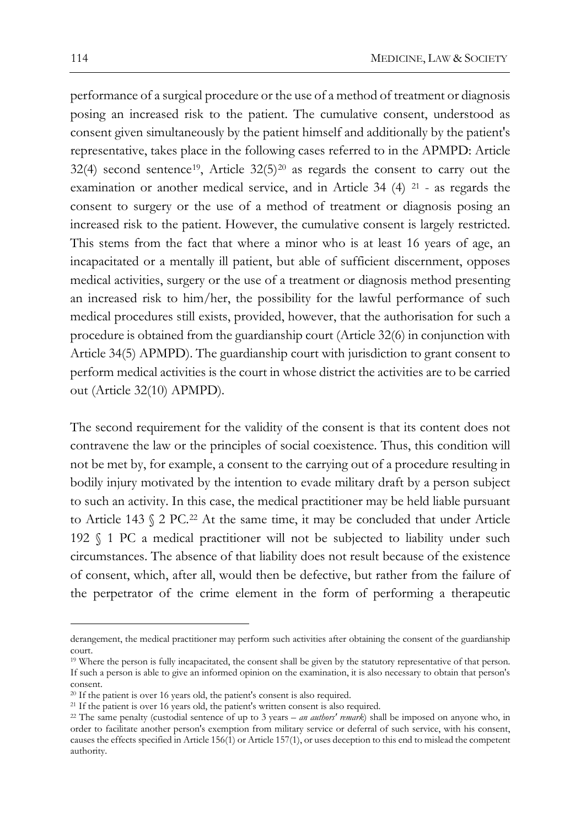performance of a surgical procedure or the use of a method of treatment or diagnosis posing an increased risk to the patient. The cumulative consent, understood as consent given simultaneously by the patient himself and additionally by the patient's representative, takes place in the following cases referred to in the APMPD: Article  $32(4)$  second sentence<sup>[19](#page-7-0)</sup>, Article  $32(5)^{20}$  $32(5)^{20}$  $32(5)^{20}$  as regards the consent to carry out the examination or another medical service, and in Article 34 (4) [21](#page-7-2) - as regards the consent to surgery or the use of a method of treatment or diagnosis posing an increased risk to the patient. However, the cumulative consent is largely restricted. This stems from the fact that where a minor who is at least 16 years of age, an incapacitated or a mentally ill patient, but able of sufficient discernment, opposes medical activities, surgery or the use of a treatment or diagnosis method presenting an increased risk to him/her, the possibility for the lawful performance of such medical procedures still exists, provided, however, that the authorisation for such a procedure is obtained from the guardianship court (Article 32(6) in conjunction with Article 34(5) APMPD). The guardianship court with jurisdiction to grant consent to perform medical activities is the court in whose district the activities are to be carried out (Article 32(10) APMPD).

The second requirement for the validity of the consent is that its content does not contravene the law or the principles of social coexistence. Thus, this condition will not be met by, for example, a consent to the carrying out of a procedure resulting in bodily injury motivated by the intention to evade military draft by a person subject to such an activity. In this case, the medical practitioner may be held liable pursuant to Article 143 § 2 PC.[22](#page-7-3) At the same time, it may be concluded that under Article 192 § 1 PC a medical practitioner will not be subjected to liability under such circumstances. The absence of that liability does not result because of the existence of consent, which, after all, would then be defective, but rather from the failure of the perpetrator of the crime element in the form of performing a therapeutic

derangement, the medical practitioner may perform such activities after obtaining the consent of the guardianship court.

<span id="page-7-0"></span><sup>19</sup> Where the person is fully incapacitated, the consent shall be given by the statutory representative of that person. If such a person is able to give an informed opinion on the examination, it is also necessary to obtain that person's consent.<br><sup>20</sup> If the patient is over 16 years old, the patient's consent is also required.

<span id="page-7-3"></span><span id="page-7-2"></span><span id="page-7-1"></span><sup>&</sup>lt;sup>21</sup> If the patient is over 16 years old, the patient's written consent is also required.

<sup>22</sup> The same penalty (custodial sentence of up to 3 years – *an authors' remark*) shall be imposed on anyone who, in order to facilitate another person's exemption from military service or deferral of such service, with his consent, causes the effects specified in Article 156(1) or Article 157(1), or uses deception to this end to mislead the competent authority.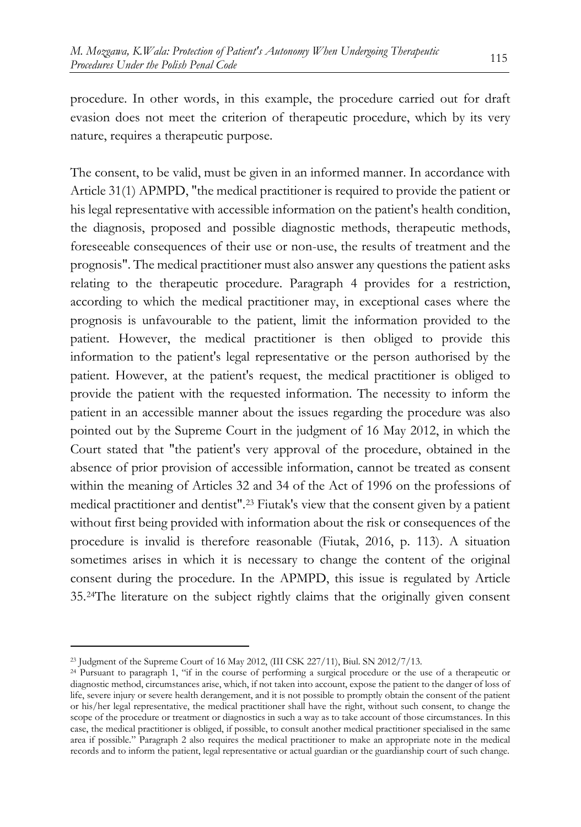procedure. In other words, in this example, the procedure carried out for draft evasion does not meet the criterion of therapeutic procedure, which by its very nature, requires a therapeutic purpose.

The consent, to be valid, must be given in an informed manner. In accordance with Article 31(1) APMPD, "the medical practitioner is required to provide the patient or his legal representative with accessible information on the patient's health condition, the diagnosis, proposed and possible diagnostic methods, therapeutic methods, foreseeable consequences of their use or non-use, the results of treatment and the prognosis". The medical practitioner must also answer any questions the patient asks relating to the therapeutic procedure. Paragraph 4 provides for a restriction, according to which the medical practitioner may, in exceptional cases where the prognosis is unfavourable to the patient, limit the information provided to the patient. However, the medical practitioner is then obliged to provide this information to the patient's legal representative or the person authorised by the patient. However, at the patient's request, the medical practitioner is obliged to provide the patient with the requested information. The necessity to inform the patient in an accessible manner about the issues regarding the procedure was also pointed out by the Supreme Court in the judgment of 16 May 2012, in which the Court stated that "the patient's very approval of the procedure, obtained in the absence of prior provision of accessible information, cannot be treated as consent within the meaning of Articles 32 and 34 of the Act of 1996 on the professions of medical practitioner and dentist".[23](#page-8-0) Fiutak's view that the consent given by a patient without first being provided with information about the risk or consequences of the procedure is invalid is therefore reasonable (Fiutak, 2016, p. 113). A situation sometimes arises in which it is necessary to change the content of the original consent during the procedure. In the APMPD, this issue is regulated by Article 35.[24](#page-8-1)The literature on the subject rightly claims that the originally given consent

<span id="page-8-1"></span><span id="page-8-0"></span>

<sup>23</sup> Judgment of the Supreme Court of 16 May 2012, (III CSK 227/11), Biul. SN 2012/7/13. 24 Pursuant to paragraph 1, "if in the course of performing a surgical procedure or the use of a therapeutic or diagnostic method, circumstances arise, which, if not taken into account, expose the patient to the danger of loss of life, severe injury or severe health derangement, and it is not possible to promptly obtain the consent of the patient or his/her legal representative, the medical practitioner shall have the right, without such consent, to change the scope of the procedure or treatment or diagnostics in such a way as to take account of those circumstances. In this case, the medical practitioner is obliged, if possible, to consult another medical practitioner specialised in the same area if possible." Paragraph 2 also requires the medical practitioner to make an appropriate note in the medical records and to inform the patient, legal representative or actual guardian or the guardianship court of such change.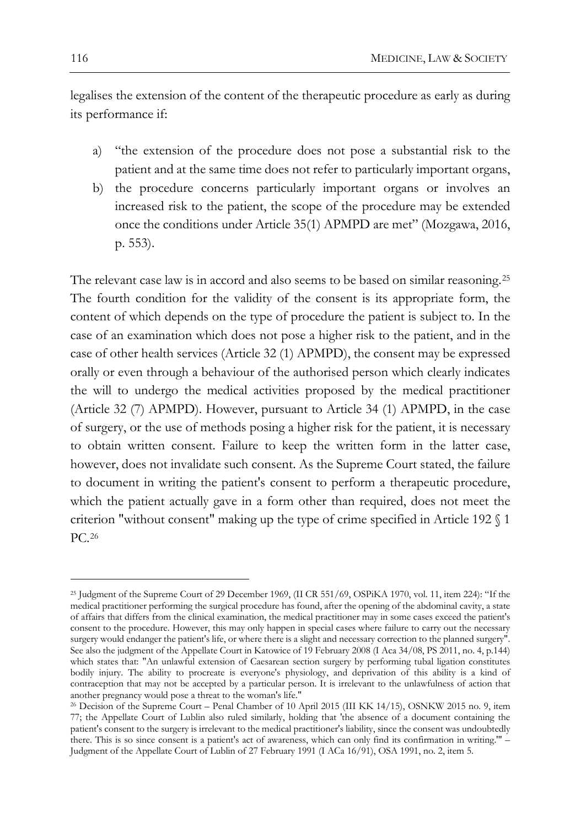legalises the extension of the content of the therapeutic procedure as early as during its performance if:

- a) "the extension of the procedure does not pose a substantial risk to the patient and at the same time does not refer to particularly important organs,
- b) the procedure concerns particularly important organs or involves an increased risk to the patient, the scope of the procedure may be extended once the conditions under Article 35(1) APMPD are met" (Mozgawa, 2016, p. 553).

The relevant case law is in accord and also seems to be based on similar reasoning.[25](#page-9-0) The fourth condition for the validity of the consent is its appropriate form, the content of which depends on the type of procedure the patient is subject to. In the case of an examination which does not pose a higher risk to the patient, and in the case of other health services (Article 32 (1) APMPD), the consent may be expressed orally or even through a behaviour of the authorised person which clearly indicates the will to undergo the medical activities proposed by the medical practitioner (Article 32 (7) APMPD). However, pursuant to Article 34 (1) APMPD, in the case of surgery, or the use of methods posing a higher risk for the patient, it is necessary to obtain written consent. Failure to keep the written form in the latter case, however, does not invalidate such consent. As the Supreme Court stated, the failure to document in writing the patient's consent to perform a therapeutic procedure, which the patient actually gave in a form other than required, does not meet the criterion "without consent" making up the type of crime specified in Article 192 § 1 PC.[26](#page-9-1)

<span id="page-9-0"></span><sup>25</sup> Judgment of the Supreme Court of 29 December 1969, (II CR 551/69, OSPiKA 1970, vol. 11, item 224): "If the medical practitioner performing the surgical procedure has found, after the opening of the abdominal cavity, a state of affairs that differs from the clinical examination, the medical practitioner may in some cases exceed the patient's consent to the procedure. However, this may only happen in special cases where failure to carry out the necessary surgery would endanger the patient's life, or where there is a slight and necessary correction to the planned surgery". See also the judgment of the Appellate Court in Katowice of 19 February 2008 (I Aca 34/08, PS 2011, no. 4, p.144) which states that: "An unlawful extension of Caesarean section surgery by performing tubal ligation constitutes bodily injury. The ability to procreate is everyone's physiology, and deprivation of this ability is a kind of contraception that may not be accepted by a particular person. It is irrelevant to the unlawfulness of action that another pregnancy would pose a threat to the woman's life."

<span id="page-9-1"></span><sup>26</sup> Decision of the Supreme Court – Penal Chamber of 10 April 2015 (III KK 14/15), OSNKW 2015 no. 9, item 77; the Appellate Court of Lublin also ruled similarly, holding that 'the absence of a document containing the patient's consent to the surgery is irrelevant to the medical practitioner's liability, since the consent was undoubtedly there. This is so since consent is a patient's act of awareness, which can only find its confirmation in writing.'" – Judgment of the Appellate Court of Lublin of 27 February 1991 (I ACa 16/91), OSA 1991, no. 2, item 5.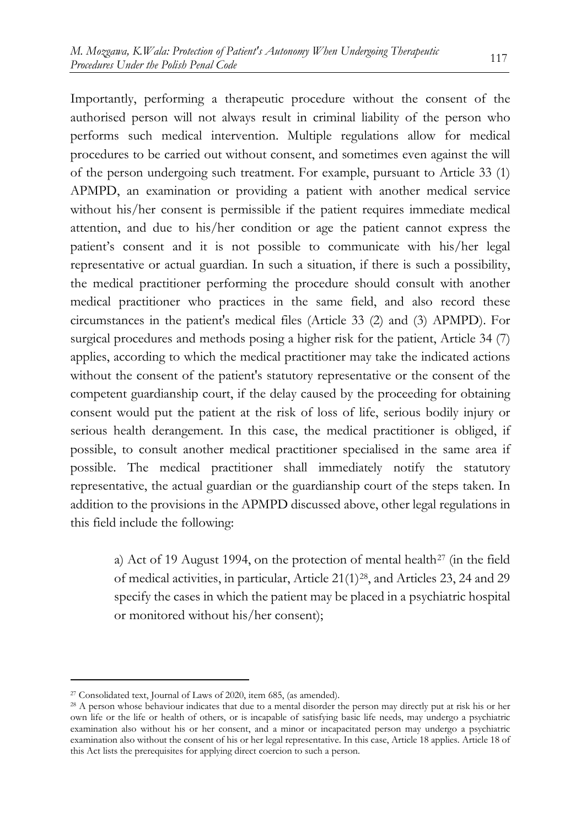Importantly, performing a therapeutic procedure without the consent of the authorised person will not always result in criminal liability of the person who performs such medical intervention. Multiple regulations allow for medical procedures to be carried out without consent, and sometimes even against the will of the person undergoing such treatment. For example, pursuant to Article 33 (1) APMPD, an examination or providing a patient with another medical service without his/her consent is permissible if the patient requires immediate medical attention, and due to his/her condition or age the patient cannot express the patient's consent and it is not possible to communicate with his/her legal representative or actual guardian. In such a situation, if there is such a possibility, the medical practitioner performing the procedure should consult with another medical practitioner who practices in the same field, and also record these circumstances in the patient's medical files (Article 33 (2) and (3) APMPD). For surgical procedures and methods posing a higher risk for the patient, Article 34 (7) applies, according to which the medical practitioner may take the indicated actions without the consent of the patient's statutory representative or the consent of the competent guardianship court, if the delay caused by the proceeding for obtaining consent would put the patient at the risk of loss of life, serious bodily injury or serious health derangement. In this case, the medical practitioner is obliged, if possible, to consult another medical practitioner specialised in the same area if possible. The medical practitioner shall immediately notify the statutory representative, the actual guardian or the guardianship court of the steps taken. In addition to the provisions in the APMPD discussed above, other legal regulations in this field include the following:

a) Act of 19 August 1994, on the protection of mental health<sup>[27](#page-10-0)</sup> (in the field of medical activities, in particular, Article 21(1)[28](#page-10-1), and Articles 23, 24 and 29 specify the cases in which the patient may be placed in a psychiatric hospital or monitored without his/her consent);

<span id="page-10-0"></span><sup>27</sup> Consolidated text, Journal of Laws of 2020, item 685, (as amended).

<span id="page-10-1"></span><sup>28</sup> A person whose behaviour indicates that due to a mental disorder the person may directly put at risk his or her own life or the life or health of others, or is incapable of satisfying basic life needs, may undergo a psychiatric examination also without his or her consent, and a minor or incapacitated person may undergo a psychiatric examination also without the consent of his or her legal representative. In this case, Article 18 applies. Article 18 of this Act lists the prerequisites for applying direct coercion to such a person.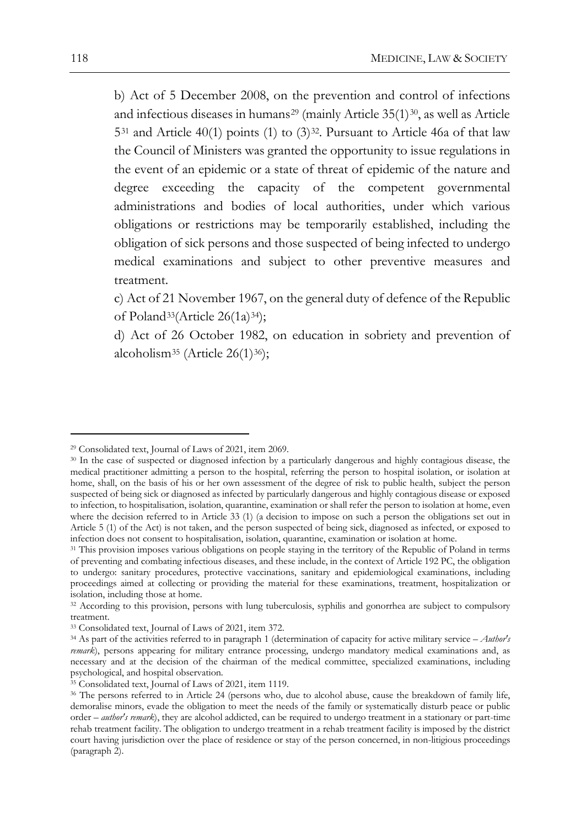b) Act of 5 December 2008, on the prevention and control of infections and infectious diseases in humans<sup>[29](#page-11-0)</sup> (mainly Article  $35(1)^{30}$  $35(1)^{30}$  $35(1)^{30}$ , as well as Article 5[31](#page-11-2) and Article 40(1) points (1) to (3)[32](#page-11-3). Pursuant to Article 46a of that law the Council of Ministers was granted the opportunity to issue regulations in the event of an epidemic or a state of threat of epidemic of the nature and degree exceeding the capacity of the competent governmental administrations and bodies of local authorities, under which various obligations or restrictions may be temporarily established, including the obligation of sick persons and those suspected of being infected to undergo medical examinations and subject to other preventive measures and treatment.

c) Act of 21 November 1967, on the general duty of defence of the Republic of Poland<sup>[33](#page-11-4)</sup>(Article 26(1a)<sup>34</sup>);

d) Act of 26 October 1982, on education in sobriety and prevention of alcoholism<sup>35</sup> (Article 26(1)<sup>[36](#page-11-7)</sup>);

<span id="page-11-0"></span><sup>29</sup> Consolidated text, Journal of Laws of 2021, item 2069.

<span id="page-11-1"></span><sup>30</sup> In the case of suspected or diagnosed infection by a particularly dangerous and highly contagious disease, the medical practitioner admitting a person to the hospital, referring the person to hospital isolation, or isolation at home, shall, on the basis of his or her own assessment of the degree of risk to public health, subject the person suspected of being sick or diagnosed as infected by particularly dangerous and highly contagious disease or exposed to infection, to hospitalisation, isolation, quarantine, examination or shall refer the person to isolation at home, even where the decision referred to in Article 33 (1) (a decision to impose on such a person the obligations set out in Article 5 (1) of the Act) is not taken, and the person suspected of being sick, diagnosed as infected, or exposed to infection does not consent to hospitalisation, isolation, quarantine, examination or isolation at home.

<span id="page-11-2"></span><sup>31</sup> This provision imposes various obligations on people staying in the territory of the Republic of Poland in terms of preventing and combating infectious diseases, and these include, in the context of Article 192 PC, the obligation to undergo: sanitary procedures, protective vaccinations, sanitary and epidemiological examinations, including proceedings aimed at collecting or providing the material for these examinations, treatment, hospitalization or isolation, including those at home.

<span id="page-11-3"></span><sup>&</sup>lt;sup>32</sup> According to this provision, persons with lung tuberculosis, syphilis and gonorrhea are subject to compulsory treatment.

<span id="page-11-4"></span><sup>33</sup> Consolidated text, Journal of Laws of 2021, item 372.

<span id="page-11-5"></span><sup>34</sup> As part of the activities referred to in paragraph 1 (determination of capacity for active military service – *Author's remark*), persons appearing for military entrance processing, undergo mandatory medical examinations and, as necessary and at the decision of the chairman of the medical committee, specialized examinations, including psychological, and hospital observation.

<span id="page-11-6"></span><sup>35</sup> Consolidated text, Journal of Laws of 2021, item 1119.

<span id="page-11-7"></span><sup>&</sup>lt;sup>36</sup> The persons referred to in Article 24 (persons who, due to alcohol abuse, cause the breakdown of family life, demoralise minors, evade the obligation to meet the needs of the family or systematically disturb peace or public order – *author's remark*), they are alcohol addicted, can be required to undergo treatment in a stationary or part-time rehab treatment facility. The obligation to undergo treatment in a rehab treatment facility is imposed by the district court having jurisdiction over the place of residence or stay of the person concerned, in non-litigious proceedings (paragraph 2).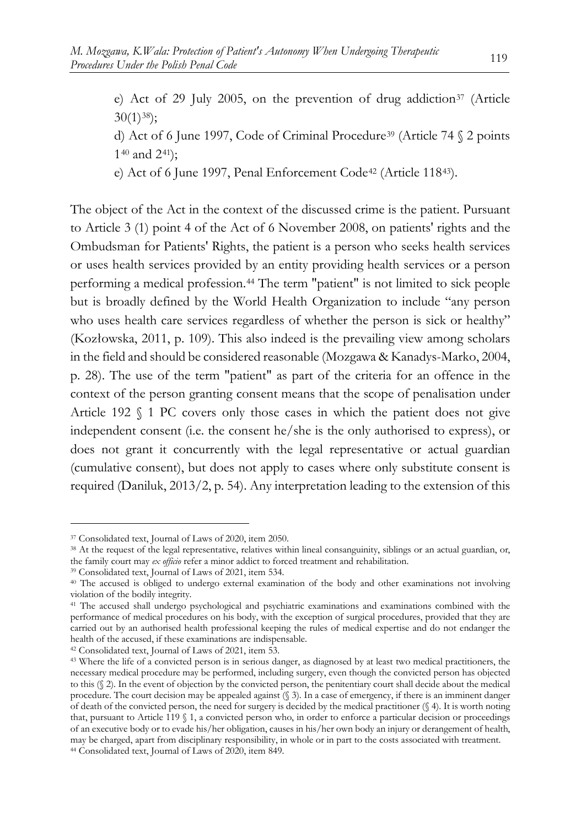e) Act of 29 July 2005, on the prevention of drug addiction<sup>[37](#page-12-0)</sup> (Article  $30(1)$ <sup>38</sup>); d) Act of 6 June 1997, Code of Criminal Procedure<sup>[39](#page-12-2)</sup> (Article 74  $\S$  2 points 1[40](#page-12-3) and 2[41](#page-12-4)); e) Act of 6 June 1997, Penal Enforcement Code<sup>[42](#page-12-5)</sup> (Article 118<sup>[43](#page-12-6)</sup>).

The object of the Act in the context of the discussed crime is the patient. Pursuant to Article 3 (1) point 4 of the Act of 6 November 2008, on patients' rights and the Ombudsman for Patients' Rights, the patient is a person who seeks health services or uses health services provided by an entity providing health services or a person performing a medical profession.[44](#page-12-7) The term "patient" is not limited to sick people but is broadly defined by the World Health Organization to include "any person who uses health care services regardless of whether the person is sick or healthy" (Kozłowska, 2011, p. 109). This also indeed is the prevailing view among scholars in the field and should be considered reasonable (Mozgawa & Kanadys-Marko, 2004, p. 28). The use of the term "patient" as part of the criteria for an offence in the context of the person granting consent means that the scope of penalisation under Article 192 § 1 PC covers only those cases in which the patient does not give independent consent (i.e. the consent he/she is the only authorised to express), or does not grant it concurrently with the legal representative or actual guardian (cumulative consent), but does not apply to cases where only substitute consent is required (Daniluk, 2013/2, p. 54). Any interpretation leading to the extension of this

<span id="page-12-5"></span><sup>42</sup> Consolidated text, Journal of Laws of 2021, item 53.

<span id="page-12-0"></span><sup>37</sup> Consolidated text, Journal of Laws of 2020, item 2050.

<span id="page-12-1"></span><sup>38</sup> At the request of the legal representative, relatives within lineal consanguinity, siblings or an actual guardian, or, the family court may *ex officio* refer a minor addict to forced treatment and rehabilitation.

<span id="page-12-2"></span><sup>39</sup> Consolidated text, Journal of Laws of 2021, item 534.

<span id="page-12-3"></span><sup>40</sup> The accused is obliged to undergo external examination of the body and other examinations not involving violation of the bodily integrity.

<span id="page-12-4"></span><sup>41</sup> The accused shall undergo psychological and psychiatric examinations and examinations combined with the performance of medical procedures on his body, with the exception of surgical procedures, provided that they are carried out by an authorised health professional keeping the rules of medical expertise and do not endanger the health of the accused, if these examinations are indispensable.

<span id="page-12-7"></span><span id="page-12-6"></span><sup>43</sup> Where the life of a convicted person is in serious danger, as diagnosed by at least two medical practitioners, the necessary medical procedure may be performed, including surgery, even though the convicted person has objected to this (§ 2). In the event of objection by the convicted person, the penitentiary court shall decide about the medical procedure. The court decision may be appealed against (§ 3). In a case of emergency, if there is an imminent danger of death of the convicted person, the need for surgery is decided by the medical practitioner (§ 4). It is worth noting that, pursuant to Article 119 § 1, a convicted person who, in order to enforce a particular decision or proceedings of an executive body or to evade his/her obligation, causes in his/her own body an injury or derangement of health, may be charged, apart from disciplinary responsibility, in whole or in part to the costs associated with treatment. <sup>44</sup> Consolidated text, Journal of Laws of 2020, item 849.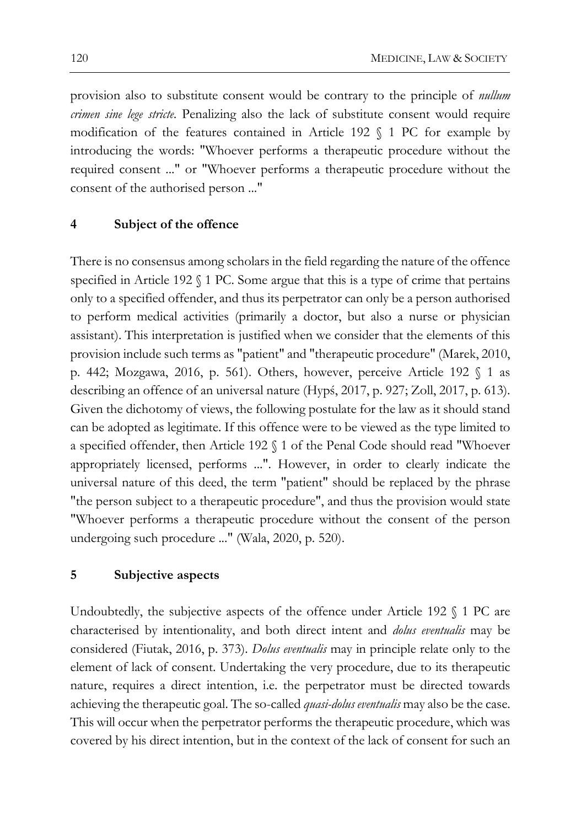provision also to substitute consent would be contrary to the principle of *nullum crimen sine lege stricte.* Penalizing also the lack of substitute consent would require modification of the features contained in Article 192  $\Diamond$  1 PC for example by introducing the words: "Whoever performs a therapeutic procedure without the required consent ..." or "Whoever performs a therapeutic procedure without the consent of the authorised person ..."

#### **4 Subject of the offence**

There is no consensus among scholars in the field regarding the nature of the offence specified in Article 192 § 1 PC. Some argue that this is a type of crime that pertains only to a specified offender, and thus its perpetrator can only be a person authorised to perform medical activities (primarily a doctor, but also a nurse or physician assistant). This interpretation is justified when we consider that the elements of this provision include such terms as "patient" and "therapeutic procedure" (Marek, 2010, p. 442; Mozgawa, 2016, p. 561). Others, however, perceive Article 192 § 1 as describing an offence of an universal nature (Hypś, 2017, p. 927; Zoll, 2017, p. 613). Given the dichotomy of views, the following postulate for the law as it should stand can be adopted as legitimate. If this offence were to be viewed as the type limited to a specified offender, then Article 192 § 1 of the Penal Code should read "Whoever appropriately licensed, performs ...". However, in order to clearly indicate the universal nature of this deed, the term "patient" should be replaced by the phrase "the person subject to a therapeutic procedure", and thus the provision would state "Whoever performs a therapeutic procedure without the consent of the person undergoing such procedure ..." (Wala, 2020, p. 520).

## **5 Subjective aspects**

Undoubtedly, the subjective aspects of the offence under Article 192 § 1 PC are characterised by intentionality, and both direct intent and *dolus eventualis* may be considered (Fiutak, 2016, p. 373). *Dolus eventualis* may in principle relate only to the element of lack of consent. Undertaking the very procedure, due to its therapeutic nature, requires a direct intention, i.e. the perpetrator must be directed towards achieving the therapeutic goal. The so-called *quasi-dolus eventualis* may also be the case. This will occur when the perpetrator performs the therapeutic procedure, which was covered by his direct intention, but in the context of the lack of consent for such an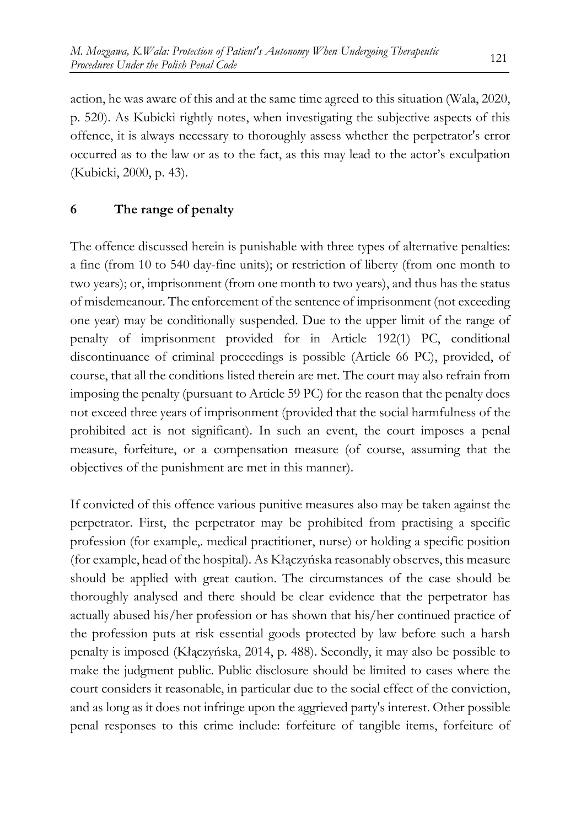action, he was aware of this and at the same time agreed to this situation (Wala, 2020, p. 520). As Kubicki rightly notes, when investigating the subjective aspects of this offence, it is always necessary to thoroughly assess whether the perpetrator's error occurred as to the law or as to the fact, as this may lead to the actor's exculpation (Kubicki, 2000, p. 43).

# **6 The range of penalty**

The offence discussed herein is punishable with three types of alternative penalties: a fine (from 10 to 540 day-fine units); or restriction of liberty (from one month to two years); or, imprisonment (from one month to two years), and thus has the status of misdemeanour. The enforcement of the sentence of imprisonment (not exceeding one year) may be conditionally suspended. Due to the upper limit of the range of penalty of imprisonment provided for in Article 192(1) PC, conditional discontinuance of criminal proceedings is possible (Article 66 PC), provided, of course, that all the conditions listed therein are met. The court may also refrain from imposing the penalty (pursuant to Article 59 PC) for the reason that the penalty does not exceed three years of imprisonment (provided that the social harmfulness of the prohibited act is not significant). In such an event, the court imposes a penal measure, forfeiture, or a compensation measure (of course, assuming that the objectives of the punishment are met in this manner).

If convicted of this offence various punitive measures also may be taken against the perpetrator. First, the perpetrator may be prohibited from practising a specific profession (for example,. medical practitioner, nurse) or holding a specific position (for example, head of the hospital). As Kłączyńska reasonably observes, this measure should be applied with great caution. The circumstances of the case should be thoroughly analysed and there should be clear evidence that the perpetrator has actually abused his/her profession or has shown that his/her continued practice of the profession puts at risk essential goods protected by law before such a harsh penalty is imposed (Kłączyńska, 2014, p. 488). Secondly, it may also be possible to make the judgment public. Public disclosure should be limited to cases where the court considers it reasonable, in particular due to the social effect of the conviction, and as long as it does not infringe upon the aggrieved party's interest. Other possible penal responses to this crime include: forfeiture of tangible items, forfeiture of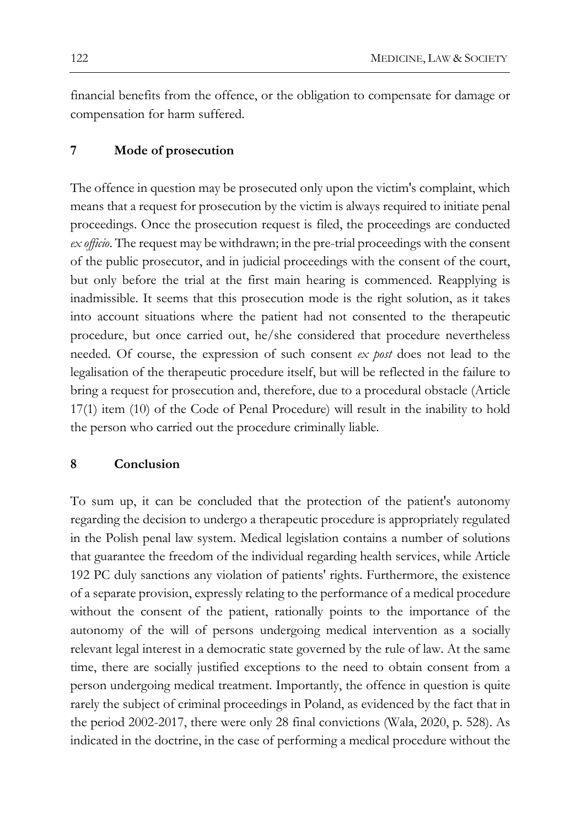financial benefits from the offence, or the obligation to compensate for damage or compensation for harm suffered.

#### **7 Mode of prosecution**

The offence in question may be prosecuted only upon the victim's complaint, which means that a request for prosecution by the victim is always required to initiate penal proceedings. Once the prosecution request is filed, the proceedings are conducted *ex officio*. The request may be withdrawn; in the pre-trial proceedings with the consent of the public prosecutor, and in judicial proceedings with the consent of the court, but only before the trial at the first main hearing is commenced. Reapplying is inadmissible. It seems that this prosecution mode is the right solution, as it takes into account situations where the patient had not consented to the therapeutic procedure, but once carried out, he/she considered that procedure nevertheless needed. Of course, the expression of such consent *ex post* does not lead to the legalisation of the therapeutic procedure itself, but will be reflected in the failure to bring a request for prosecution and, therefore, due to a procedural obstacle (Article 17(1) item (10) of the Code of Penal Procedure) will result in the inability to hold the person who carried out the procedure criminally liable.

#### **8 Conclusion**

To sum up, it can be concluded that the protection of the patient's autonomy regarding the decision to undergo a therapeutic procedure is appropriately regulated in the Polish penal law system. Medical legislation contains a number of solutions that guarantee the freedom of the individual regarding health services, while Article 192 PC duly sanctions any violation of patients' rights. Furthermore, the existence of a separate provision, expressly relating to the performance of a medical procedure without the consent of the patient, rationally points to the importance of the autonomy of the will of persons undergoing medical intervention as a socially relevant legal interest in a democratic state governed by the rule of law. At the same time, there are socially justified exceptions to the need to obtain consent from a person undergoing medical treatment. Importantly, the offence in question is quite rarely the subject of criminal proceedings in Poland, as evidenced by the fact that in the period 2002-2017, there were only 28 final convictions (Wala, 2020, p. 528). As indicated in the doctrine, in the case of performing a medical procedure without the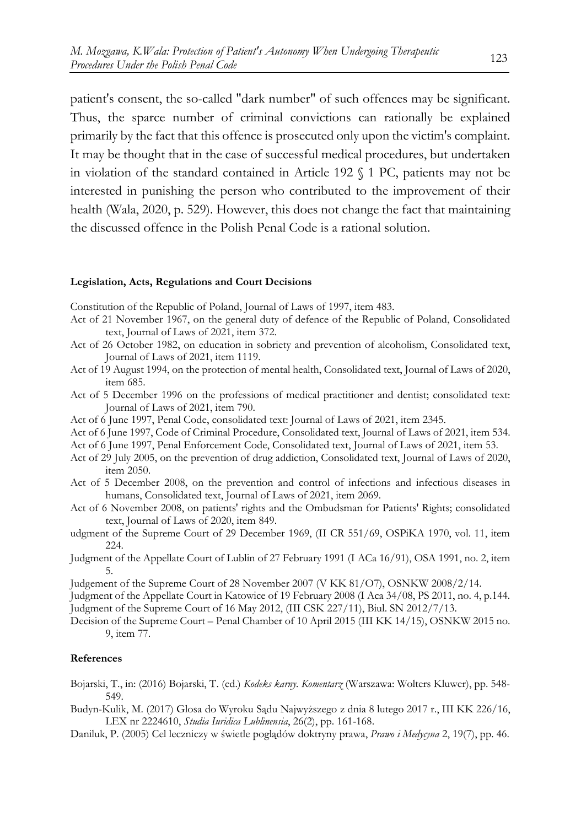patient's consent, the so-called "dark number" of such offences may be significant. Thus, the sparce number of criminal convictions can rationally be explained primarily by the fact that this offence is prosecuted only upon the victim's complaint. It may be thought that in the case of successful medical procedures, but undertaken in violation of the standard contained in Article 192 § 1 PC, patients may not be interested in punishing the person who contributed to the improvement of their health (Wala, 2020, p. 529). However, this does not change the fact that maintaining the discussed offence in the Polish Penal Code is a rational solution.

#### **Legislation, Acts, Regulations and Court Decisions**

Constitution of the Republic of Poland, Journal of Laws of 1997, item 483.

- Act of 21 November 1967, on the general duty of defence of the Republic of Poland, Consolidated text, Journal of Laws of 2021, item 372.
- Act of 26 October 1982, on education in sobriety and prevention of alcoholism, Consolidated text, Journal of Laws of 2021, item 1119.
- Act of 19 August 1994, on the protection of mental health, Consolidated text, Journal of Laws of 2020, item 685.
- Act of 5 December 1996 on the professions of medical practitioner and dentist; consolidated text: Journal of Laws of 2021, item 790.
- Act of 6 June 1997, Penal Code, consolidated text: Journal of Laws of 2021, item 2345.
- Act of 6 June 1997, Code of Criminal Procedure, Consolidated text, Journal of Laws of 2021, item 534.
- Act of 6 June 1997, Penal Enforcement Code, Consolidated text, Journal of Laws of 2021, item 53.
- Act of 29 July 2005, on the prevention of drug addiction, Consolidated text, Journal of Laws of 2020, item 2050.
- Act of 5 December 2008, on the prevention and control of infections and infectious diseases in humans, Consolidated text, Journal of Laws of 2021, item 2069.
- Act of 6 November 2008, on patients' rights and the Ombudsman for Patients' Rights; consolidated text, Journal of Laws of 2020, item 849.
- udgment of the Supreme Court of 29 December 1969, (II CR 551/69, OSPiKA 1970, vol. 11, item 224.
- Judgment of the Appellate Court of Lublin of 27 February 1991 (I ACa 16/91), OSA 1991, no. 2, item 5.
- Judgement of the Supreme Court of 28 November 2007 (V KK 81/O7), OSNKW 2008/2/14.
- Judgment of the Appellate Court in Katowice of 19 February 2008 (I Aca 34/08, PS 2011, no. 4, p.144. Judgment of the Supreme Court of 16 May 2012, (III CSK 227/11), Biul. SN 2012/7/13.
- Decision of the Supreme Court Penal Chamber of 10 April 2015 (III KK 14/15), OSNKW 2015 no. 9, item 77.

#### **References**

- Bojarski, T., in: (2016) Bojarski, T. (ed.) *Kodeks karny. Komentarz* (Warszawa: Wolters Kluwer), pp. 548- 549.
- Budyn-Kulik, M. (2017) Glosa do Wyroku Sądu Najwyższego z dnia 8 lutego 2017 r., III KK 226/16, LEX nr 2224610, *Studia Iuridica Lublinensia*, 26(2), pp. 161-168.
- Daniluk, P. (2005) Cel leczniczy w świetle poglądów doktryny prawa, *Prawo i Medycyna* 2, 19(7), pp. 46.